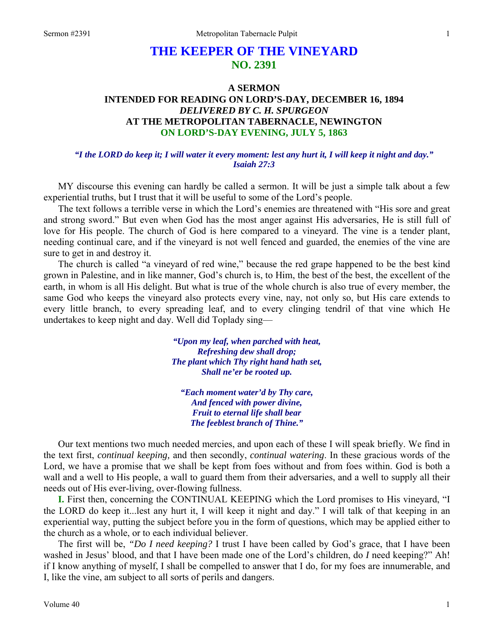# **THE KEEPER OF THE VINEYARD NO. 2391**

## **A SERMON INTENDED FOR READING ON LORD'S-DAY, DECEMBER 16, 1894**  *DELIVERED BY C. H. SPURGEON*  **AT THE METROPOLITAN TABERNACLE, NEWINGTON ON LORD'S-DAY EVENING, JULY 5, 1863**

### *"I the LORD do keep it; I will water it every moment: lest any hurt it, I will keep it night and day." Isaiah 27:3*

MY discourse this evening can hardly be called a sermon. It will be just a simple talk about a few experiential truths, but I trust that it will be useful to some of the Lord's people.

The text follows a terrible verse in which the Lord's enemies are threatened with "His sore and great and strong sword." But even when God has the most anger against His adversaries, He is still full of love for His people. The church of God is here compared to a vineyard. The vine is a tender plant, needing continual care, and if the vineyard is not well fenced and guarded, the enemies of the vine are sure to get in and destroy it.

The church is called "a vineyard of red wine," because the red grape happened to be the best kind grown in Palestine, and in like manner, God's church is, to Him, the best of the best, the excellent of the earth, in whom is all His delight. But what is true of the whole church is also true of every member, the same God who keeps the vineyard also protects every vine, nay, not only so, but His care extends to every little branch, to every spreading leaf, and to every clinging tendril of that vine which He undertakes to keep night and day. Well did Toplady sing—

> *"Upon my leaf, when parched with heat, Refreshing dew shall drop; The plant which Thy right hand hath set, Shall ne'er be rooted up.*

*"Each moment water'd by Thy care, And fenced with power divine, Fruit to eternal life shall bear The feeblest branch of Thine."* 

Our text mentions two much needed mercies, and upon each of these I will speak briefly. We find in the text first, *continual keeping,* and then secondly, *continual watering*. In these gracious words of the Lord, we have a promise that we shall be kept from foes without and from foes within. God is both a wall and a well to His people, a wall to guard them from their adversaries, and a well to supply all their needs out of His ever-living, over-flowing fullness.

**I.** First then, concerning the CONTINUAL KEEPING which the Lord promises to His vineyard, "I the LORD do keep it...lest any hurt it, I will keep it night and day." I will talk of that keeping in an experiential way, putting the subject before you in the form of questions, which may be applied either to the church as a whole, or to each individual believer.

The first will be, *"Do I need keeping?* I trust I have been called by God's grace, that I have been washed in Jesus' blood, and that I have been made one of the Lord's children, do *I* need keeping?" Ah! if I know anything of myself, I shall be compelled to answer that I do, for my foes are innumerable, and I, like the vine, am subject to all sorts of perils and dangers.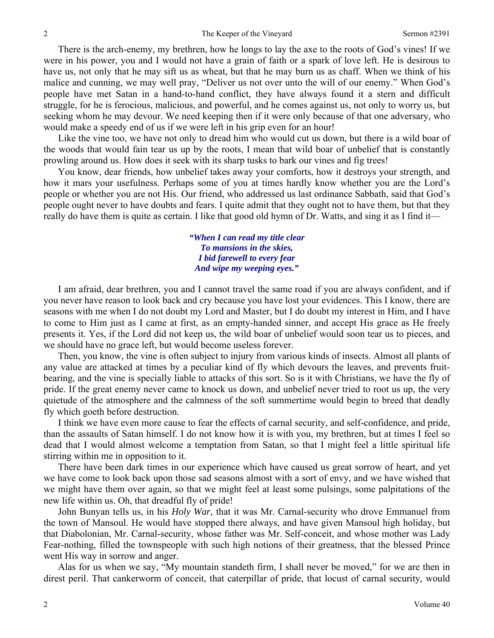There is the arch-enemy, my brethren, how he longs to lay the axe to the roots of God's vines! If we were in his power, you and I would not have a grain of faith or a spark of love left. He is desirous to have us, not only that he may sift us as wheat, but that he may burn us as chaff. When we think of his malice and cunning, we may well pray, "Deliver us not over unto the will of our enemy." When God's people have met Satan in a hand-to-hand conflict, they have always found it a stern and difficult struggle, for he is ferocious, malicious, and powerful, and he comes against us, not only to worry us, but seeking whom he may devour. We need keeping then if it were only because of that one adversary, who would make a speedy end of us if we were left in his grip even for an hour!

Like the vine too, we have not only to dread him who would cut us down, but there is a wild boar of the woods that would fain tear us up by the roots, I mean that wild boar of unbelief that is constantly prowling around us. How does it seek with its sharp tusks to bark our vines and fig trees!

You know, dear friends, how unbelief takes away your comforts, how it destroys your strength, and how it mars your usefulness. Perhaps some of you at times hardly know whether you are the Lord's people or whether you are not His. Our friend, who addressed us last ordinance Sabbath, said that God's people ought never to have doubts and fears. I quite admit that they ought not to have them, but that they really do have them is quite as certain. I like that good old hymn of Dr. Watts, and sing it as I find it—

> *"When I can read my title clear To mansions in the skies, I bid farewell to every fear And wipe my weeping eyes."*

I am afraid, dear brethren, you and I cannot travel the same road if you are always confident, and if you never have reason to look back and cry because you have lost your evidences. This I know, there are seasons with me when I do not doubt my Lord and Master, but I do doubt my interest in Him, and I have to come to Him just as I came at first, as an empty-handed sinner, and accept His grace as He freely presents it. Yes, if the Lord did not keep us, the wild boar of unbelief would soon tear us to pieces, and we should have no grace left, but would become useless forever.

Then, you know, the vine is often subject to injury from various kinds of insects. Almost all plants of any value are attacked at times by a peculiar kind of fly which devours the leaves, and prevents fruitbearing, and the vine is specially liable to attacks of this sort. So is it with Christians, we have the fly of pride. If the great enemy never came to knock us down, and unbelief never tried to root us up, the very quietude of the atmosphere and the calmness of the soft summertime would begin to breed that deadly fly which goeth before destruction.

I think we have even more cause to fear the effects of carnal security, and self-confidence, and pride, than the assaults of Satan himself. I do not know how it is with you, my brethren, but at times I feel so dead that I would almost welcome a temptation from Satan, so that I might feel a little spiritual life stirring within me in opposition to it.

There have been dark times in our experience which have caused us great sorrow of heart, and yet we have come to look back upon those sad seasons almost with a sort of envy, and we have wished that we might have them over again, so that we might feel at least some pulsings, some palpitations of the new life within us. Oh, that dreadful fly of pride!

John Bunyan tells us, in his *Holy War,* that it was Mr. Carnal-security who drove Emmanuel from the town of Mansoul. He would have stopped there always, and have given Mansoul high holiday, but that Diabolonian, Mr. Carnal-security, whose father was Mr. Self-conceit, and whose mother was Lady Fear-nothing, filled the townspeople with such high notions of their greatness, that the blessed Prince went His way in sorrow and anger.

Alas for us when we say, "My mountain standeth firm, I shall never be moved," for we are then in direst peril. That cankerworm of conceit, that caterpillar of pride, that locust of carnal security, would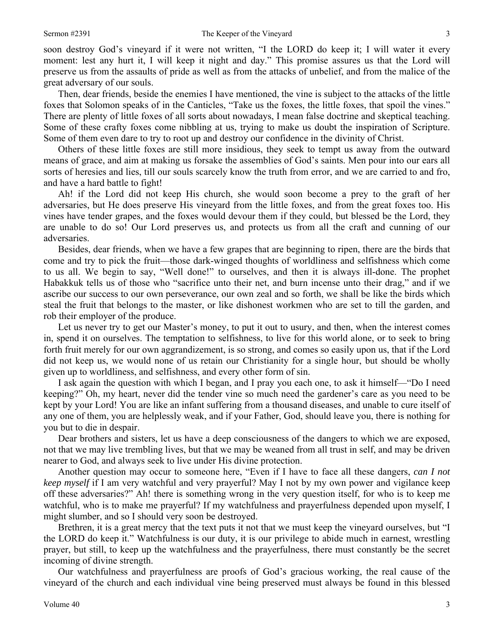soon destroy God's vineyard if it were not written, "I the LORD do keep it; I will water it every moment: lest any hurt it, I will keep it night and day." This promise assures us that the Lord will preserve us from the assaults of pride as well as from the attacks of unbelief, and from the malice of the great adversary of our souls.

Then, dear friends, beside the enemies I have mentioned, the vine is subject to the attacks of the little foxes that Solomon speaks of in the Canticles, "Take us the foxes, the little foxes, that spoil the vines." There are plenty of little foxes of all sorts about nowadays, I mean false doctrine and skeptical teaching. Some of these crafty foxes come nibbling at us, trying to make us doubt the inspiration of Scripture. Some of them even dare to try to root up and destroy our confidence in the divinity of Christ.

Others of these little foxes are still more insidious, they seek to tempt us away from the outward means of grace, and aim at making us forsake the assemblies of God's saints. Men pour into our ears all sorts of heresies and lies, till our souls scarcely know the truth from error, and we are carried to and fro, and have a hard battle to fight!

Ah! if the Lord did not keep His church, she would soon become a prey to the graft of her adversaries, but He does preserve His vineyard from the little foxes, and from the great foxes too. His vines have tender grapes, and the foxes would devour them if they could, but blessed be the Lord, they are unable to do so! Our Lord preserves us, and protects us from all the craft and cunning of our adversaries.

Besides, dear friends, when we have a few grapes that are beginning to ripen, there are the birds that come and try to pick the fruit—those dark-winged thoughts of worldliness and selfishness which come to us all. We begin to say, "Well done!" to ourselves, and then it is always ill-done. The prophet Habakkuk tells us of those who "sacrifice unto their net, and burn incense unto their drag," and if we ascribe our success to our own perseverance, our own zeal and so forth, we shall be like the birds which steal the fruit that belongs to the master, or like dishonest workmen who are set to till the garden, and rob their employer of the produce.

Let us never try to get our Master's money, to put it out to usury, and then, when the interest comes in, spend it on ourselves. The temptation to selfishness, to live for this world alone, or to seek to bring forth fruit merely for our own aggrandizement, is so strong, and comes so easily upon us, that if the Lord did not keep us, we would none of us retain our Christianity for a single hour, but should be wholly given up to worldliness, and selfishness, and every other form of sin.

I ask again the question with which I began, and I pray you each one, to ask it himself—"Do I need keeping?" Oh, my heart, never did the tender vine so much need the gardener's care as you need to be kept by your Lord! You are like an infant suffering from a thousand diseases, and unable to cure itself of any one of them, you are helplessly weak, and if your Father, God, should leave you, there is nothing for you but to die in despair.

Dear brothers and sisters, let us have a deep consciousness of the dangers to which we are exposed, not that we may live trembling lives, but that we may be weaned from all trust in self, and may be driven nearer to God, and always seek to live under His divine protection.

Another question may occur to someone here, "Even if I have to face all these dangers, *can I not keep myself* if I am very watchful and very prayerful? May I not by my own power and vigilance keep off these adversaries?" Ah! there is something wrong in the very question itself, for who is to keep me watchful, who is to make me prayerful? If my watchfulness and prayerfulness depended upon myself, I might slumber, and so I should very soon be destroyed.

Brethren, it is a great mercy that the text puts it not that we must keep the vineyard ourselves, but "I the LORD do keep it." Watchfulness is our duty, it is our privilege to abide much in earnest, wrestling prayer, but still, to keep up the watchfulness and the prayerfulness, there must constantly be the secret incoming of divine strength.

Our watchfulness and prayerfulness are proofs of God's gracious working, the real cause of the vineyard of the church and each individual vine being preserved must always be found in this blessed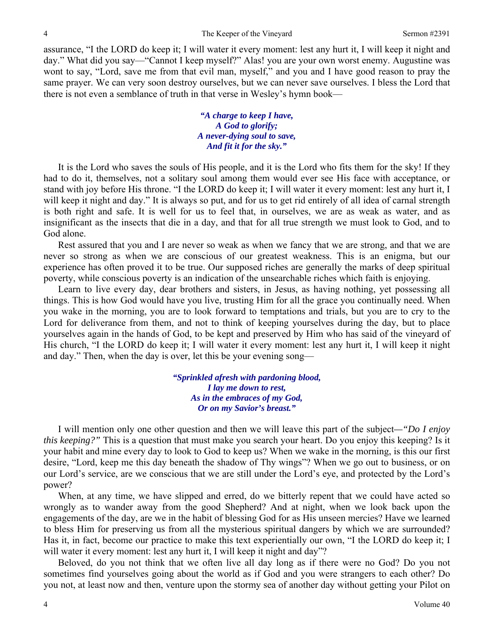assurance, "I the LORD do keep it; I will water it every moment: lest any hurt it, I will keep it night and day." What did you say—"Cannot I keep myself?" Alas! you are your own worst enemy. Augustine was wont to say, "Lord, save me from that evil man, myself," and you and I have good reason to pray the same prayer. We can very soon destroy ourselves, but we can never save ourselves. I bless the Lord that there is not even a semblance of truth in that verse in Wesley's hymn book—

> *"A charge to keep I have, A God to glorify; A never-dying soul to save, And fit it for the sky."*

It is the Lord who saves the souls of His people, and it is the Lord who fits them for the sky! If they had to do it, themselves, not a solitary soul among them would ever see His face with acceptance, or stand with joy before His throne. "I the LORD do keep it; I will water it every moment: lest any hurt it, I will keep it night and day." It is always so put, and for us to get rid entirely of all idea of carnal strength is both right and safe. It is well for us to feel that, in ourselves, we are as weak as water, and as insignificant as the insects that die in a day, and that for all true strength we must look to God, and to God alone.

Rest assured that you and I are never so weak as when we fancy that we are strong, and that we are never so strong as when we are conscious of our greatest weakness. This is an enigma, but our experience has often proved it to be true. Our supposed riches are generally the marks of deep spiritual poverty, while conscious poverty is an indication of the unsearchable riches which faith is enjoying.

Learn to live every day, dear brothers and sisters, in Jesus, as having nothing, yet possessing all things. This is how God would have you live, trusting Him for all the grace you continually need. When you wake in the morning, you are to look forward to temptations and trials, but you are to cry to the Lord for deliverance from them, and not to think of keeping yourselves during the day, but to place yourselves again in the hands of God, to be kept and preserved by Him who has said of the vineyard of His church, "I the LORD do keep it; I will water it every moment: lest any hurt it, I will keep it night and day." Then, when the day is over, let this be your evening song—

> *"Sprinkled afresh with pardoning blood, I lay me down to rest, As in the embraces of my God, Or on my Savior's breast."*

I will mention only one other question and then we will leave this part of the subject*—"Do I enjoy this keeping?"* This is a question that must make you search your heart. Do you enjoy this keeping? Is it your habit and mine every day to look to God to keep us? When we wake in the morning, is this our first desire, "Lord, keep me this day beneath the shadow of Thy wings"? When we go out to business, or on our Lord's service, are we conscious that we are still under the Lord's eye, and protected by the Lord's power?

When, at any time, we have slipped and erred, do we bitterly repent that we could have acted so wrongly as to wander away from the good Shepherd? And at night, when we look back upon the engagements of the day, are we in the habit of blessing God for as His unseen mercies? Have we learned to bless Him for preserving us from all the mysterious spiritual dangers by which we are surrounded? Has it, in fact, become our practice to make this text experientially our own, "I the LORD do keep it; I will water it every moment: lest any hurt it, I will keep it night and day"?

Beloved, do you not think that we often live all day long as if there were no God? Do you not sometimes find yourselves going about the world as if God and you were strangers to each other? Do you not, at least now and then, venture upon the stormy sea of another day without getting your Pilot on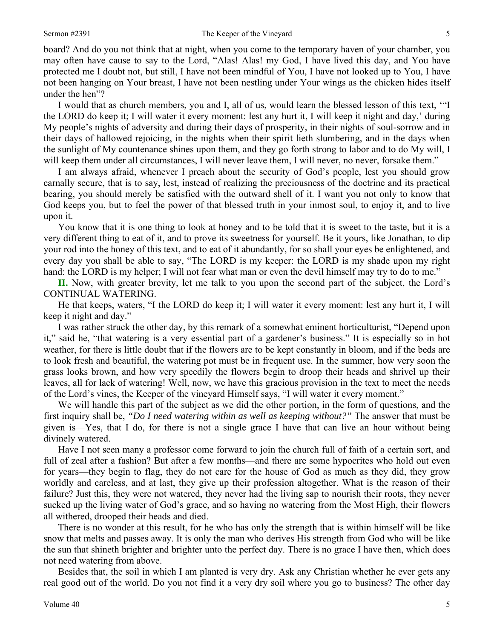board? And do you not think that at night, when you come to the temporary haven of your chamber, you may often have cause to say to the Lord, "Alas! Alas! my God, I have lived this day, and You have protected me I doubt not, but still, I have not been mindful of You, I have not looked up to You, I have not been hanging on Your breast, I have not been nestling under Your wings as the chicken hides itself under the hen"?

I would that as church members, you and I, all of us, would learn the blessed lesson of this text, '"I the LORD do keep it; I will water it every moment: lest any hurt it, I will keep it night and day,' during My people's nights of adversity and during their days of prosperity, in their nights of soul-sorrow and in their days of hallowed rejoicing, in the nights when their spirit lieth slumbering, and in the days when the sunlight of My countenance shines upon them, and they go forth strong to labor and to do My will, I will keep them under all circumstances, I will never leave them, I will never, no never, forsake them."

I am always afraid, whenever I preach about the security of God's people, lest you should grow carnally secure, that is to say, lest, instead of realizing the preciousness of the doctrine and its practical bearing, you should merely be satisfied with the outward shell of it. I want you not only to know that God keeps you, but to feel the power of that blessed truth in your inmost soul, to enjoy it, and to live upon it.

You know that it is one thing to look at honey and to be told that it is sweet to the taste, but it is a very different thing to eat of it, and to prove its sweetness for yourself. Be it yours, like Jonathan, to dip your rod into the honey of this text, and to eat of it abundantly, for so shall your eyes be enlightened, and every day you shall be able to say, "The LORD is my keeper: the LORD is my shade upon my right hand: the LORD is my helper; I will not fear what man or even the devil himself may try to do to me."

**II.** Now, with greater brevity, let me talk to you upon the second part of the subject, the Lord's CONTINUAL WATERING.

He that keeps, waters, "I the LORD do keep it; I will water it every moment: lest any hurt it, I will keep it night and day."

I was rather struck the other day, by this remark of a somewhat eminent horticulturist, "Depend upon it," said he, "that watering is a very essential part of a gardener's business." It is especially so in hot weather, for there is little doubt that if the flowers are to be kept constantly in bloom, and if the beds are to look fresh and beautiful, the watering pot must be in frequent use. In the summer, how very soon the grass looks brown, and how very speedily the flowers begin to droop their heads and shrivel up their leaves, all for lack of watering! Well, now, we have this gracious provision in the text to meet the needs of the Lord's vines, the Keeper of the vineyard Himself says, "I will water it every moment."

We will handle this part of the subject as we did the other portion, in the form of questions, and the first inquiry shall be, *"Do I need watering within as well as keeping without?"* The answer that must be given is—Yes, that I do, for there is not a single grace I have that can live an hour without being divinely watered.

Have I not seen many a professor come forward to join the church full of faith of a certain sort, and full of zeal after a fashion? But after a few months—and there are some hypocrites who hold out even for years—they begin to flag, they do not care for the house of God as much as they did, they grow worldly and careless, and at last, they give up their profession altogether. What is the reason of their failure? Just this, they were not watered, they never had the living sap to nourish their roots, they never sucked up the living water of God's grace, and so having no watering from the Most High, their flowers all withered, drooped their heads and died.

There is no wonder at this result, for he who has only the strength that is within himself will be like snow that melts and passes away. It is only the man who derives His strength from God who will be like the sun that shineth brighter and brighter unto the perfect day. There is no grace I have then, which does not need watering from above.

Besides that, the soil in which I am planted is very dry. Ask any Christian whether he ever gets any real good out of the world. Do you not find it a very dry soil where you go to business? The other day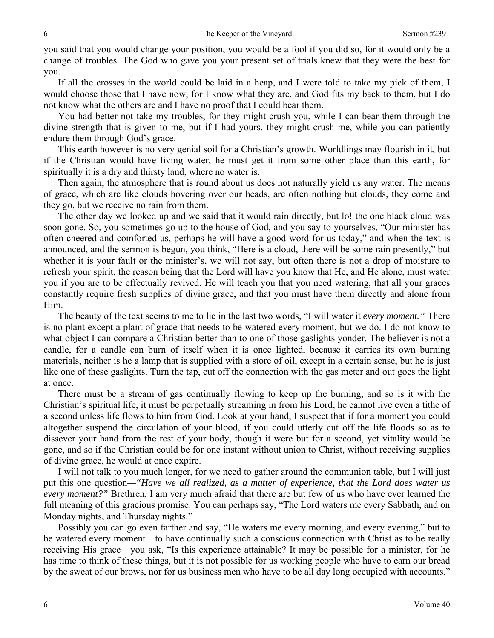you said that you would change your position, you would be a fool if you did so, for it would only be a change of troubles. The God who gave you your present set of trials knew that they were the best for you.

If all the crosses in the world could be laid in a heap, and I were told to take my pick of them, I would choose those that I have now, for I know what they are, and God fits my back to them, but I do not know what the others are and I have no proof that I could bear them.

You had better not take my troubles, for they might crush you, while I can bear them through the divine strength that is given to me, but if I had yours, they might crush me, while you can patiently endure them through God's grace.

This earth however is no very genial soil for a Christian's growth. Worldlings may flourish in it, but if the Christian would have living water, he must get it from some other place than this earth, for spiritually it is a dry and thirsty land, where no water is.

Then again, the atmosphere that is round about us does not naturally yield us any water. The means of grace, which are like clouds hovering over our heads, are often nothing but clouds, they come and they go, but we receive no rain from them.

The other day we looked up and we said that it would rain directly, but lo! the one black cloud was soon gone. So, you sometimes go up to the house of God, and you say to yourselves, "Our minister has often cheered and comforted us, perhaps he will have a good word for us today," and when the text is announced, and the sermon is begun, you think, "Here is a cloud, there will be some rain presently," but whether it is your fault or the minister's, we will not say, but often there is not a drop of moisture to refresh your spirit, the reason being that the Lord will have you know that He, and He alone, must water you if you are to be effectually revived. He will teach you that you need watering, that all your graces constantly require fresh supplies of divine grace, and that you must have them directly and alone from Him.

The beauty of the text seems to me to lie in the last two words, "I will water it *every moment."* There is no plant except a plant of grace that needs to be watered every moment, but we do. I do not know to what object I can compare a Christian better than to one of those gaslights yonder. The believer is not a candle, for a candle can burn of itself when it is once lighted, because it carries its own burning materials, neither is he a lamp that is supplied with a store of oil, except in a certain sense, but he is just like one of these gaslights. Turn the tap, cut off the connection with the gas meter and out goes the light at once.

There must be a stream of gas continually flowing to keep up the burning, and so is it with the Christian's spiritual life, it must be perpetually streaming in from his Lord, he cannot live even a tithe of a second unless life flows to him from God. Look at your hand, I suspect that if for a moment you could altogether suspend the circulation of your blood, if you could utterly cut off the life floods so as to dissever your hand from the rest of your body, though it were but for a second, yet vitality would be gone, and so if the Christian could be for one instant without union to Christ, without receiving supplies of divine grace, he would at once expire.

I will not talk to you much longer, for we need to gather around the communion table, but I will just put this one question*—"Have we all realized, as a matter of experience, that the Lord does water us every moment?"* Brethren, I am very much afraid that there are but few of us who have ever learned the full meaning of this gracious promise. You can perhaps say, "The Lord waters me every Sabbath, and on Monday nights, and Thursday nights."

Possibly you can go even farther and say, "He waters me every morning, and every evening," but to be watered every moment—to have continually such a conscious connection with Christ as to be really receiving His grace—you ask, "Is this experience attainable? It may be possible for a minister, for he has time to think of these things, but it is not possible for us working people who have to earn our bread by the sweat of our brows, nor for us business men who have to be all day long occupied with accounts."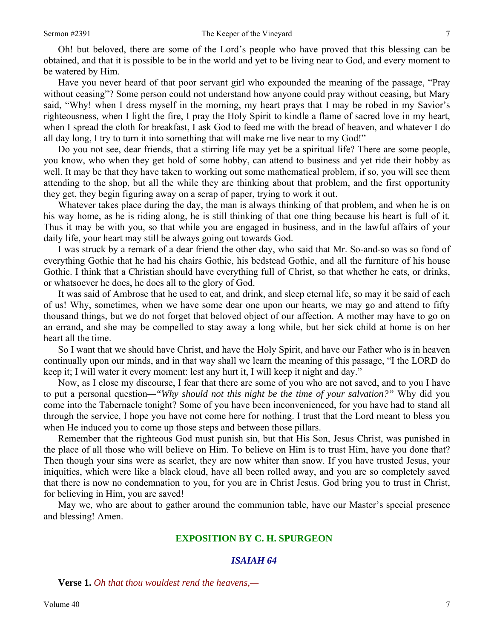Oh! but beloved, there are some of the Lord's people who have proved that this blessing can be obtained, and that it is possible to be in the world and yet to be living near to God, and every moment to be watered by Him.

Have you never heard of that poor servant girl who expounded the meaning of the passage, "Pray without ceasing"? Some person could not understand how anyone could pray without ceasing, but Mary said, "Why! when I dress myself in the morning, my heart prays that I may be robed in my Savior's righteousness, when I light the fire, I pray the Holy Spirit to kindle a flame of sacred love in my heart, when I spread the cloth for breakfast, I ask God to feed me with the bread of heaven, and whatever I do all day long, I try to turn it into something that will make me live near to my God!"

Do you not see, dear friends, that a stirring life may yet be a spiritual life? There are some people, you know, who when they get hold of some hobby, can attend to business and yet ride their hobby as well. It may be that they have taken to working out some mathematical problem, if so, you will see them attending to the shop, but all the while they are thinking about that problem, and the first opportunity they get, they begin figuring away on a scrap of paper, trying to work it out.

Whatever takes place during the day, the man is always thinking of that problem, and when he is on his way home, as he is riding along, he is still thinking of that one thing because his heart is full of it. Thus it may be with you, so that while you are engaged in business, and in the lawful affairs of your daily life, your heart may still be always going out towards God.

I was struck by a remark of a dear friend the other day, who said that Mr. So-and-so was so fond of everything Gothic that he had his chairs Gothic, his bedstead Gothic, and all the furniture of his house Gothic. I think that a Christian should have everything full of Christ, so that whether he eats, or drinks, or whatsoever he does, he does all to the glory of God.

It was said of Ambrose that he used to eat, and drink, and sleep eternal life, so may it be said of each of us! Why, sometimes, when we have some dear one upon our hearts, we may go and attend to fifty thousand things, but we do not forget that beloved object of our affection. A mother may have to go on an errand, and she may be compelled to stay away a long while, but her sick child at home is on her heart all the time.

So I want that we should have Christ, and have the Holy Spirit, and have our Father who is in heaven continually upon our minds, and in that way shall we learn the meaning of this passage, "I the LORD do keep it; I will water it every moment: lest any hurt it, I will keep it night and day."

Now, as I close my discourse, I fear that there are some of you who are not saved, and to you I have to put a personal question*—"Why should not this night be the time of your salvation?"* Why did you come into the Tabernacle tonight? Some of you have been inconvenienced, for you have had to stand all through the service, I hope you have not come here for nothing. I trust that the Lord meant to bless you when He induced you to come up those steps and between those pillars.

Remember that the righteous God must punish sin, but that His Son, Jesus Christ, was punished in the place of all those who will believe on Him. To believe on Him is to trust Him, have you done that? Then though your sins were as scarlet, they are now whiter than snow. If you have trusted Jesus, your iniquities, which were like a black cloud, have all been rolled away, and you are so completely saved that there is now no condemnation to you, for you are in Christ Jesus. God bring you to trust in Christ, for believing in Him, you are saved!

May we, who are about to gather around the communion table, have our Master's special presence and blessing! Amen.

### **EXPOSITION BY C. H. SPURGEON**

### *ISAIAH 64*

**Verse 1.** *Oh that thou wouldest rend the heavens,—*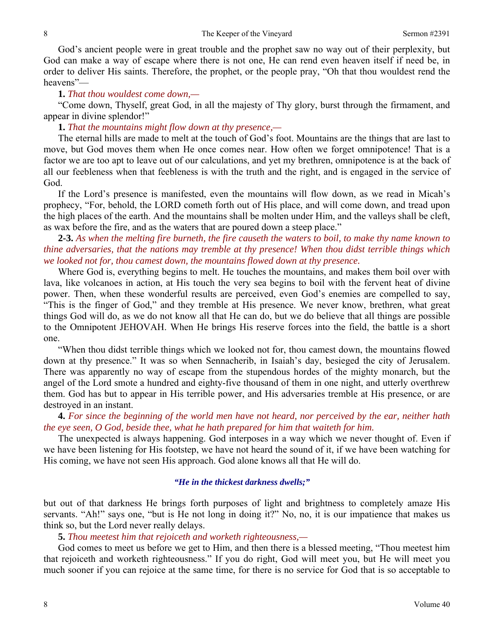God's ancient people were in great trouble and the prophet saw no way out of their perplexity, but God can make a way of escape where there is not one, He can rend even heaven itself if need be, in order to deliver His saints. Therefore, the prophet, or the people pray, "Oh that thou wouldest rend the heavens"—

### **1.** *That thou wouldest come down,—*

"Come down, Thyself, great God, in all the majesty of Thy glory, burst through the firmament, and appear in divine splendor!"

#### **1.** *That the mountains might flow down at thy presence,—*

The eternal hills are made to melt at the touch of God's foot. Mountains are the things that are last to move, but God moves them when He once comes near. How often we forget omnipotence! That is a factor we are too apt to leave out of our calculations, and yet my brethren, omnipotence is at the back of all our feebleness when that feebleness is with the truth and the right, and is engaged in the service of God.

If the Lord's presence is manifested, even the mountains will flow down, as we read in Micah's prophecy, "For, behold, the LORD cometh forth out of His place, and will come down, and tread upon the high places of the earth. And the mountains shall be molten under Him, and the valleys shall be cleft, as wax before the fire, and as the waters that are poured down a steep place."

# **2-3.** *As when the melting fire burneth, the fire causeth the waters to boil, to make thy name known to thine adversaries, that the nations may tremble at thy presence! When thou didst terrible things which we looked not for, thou camest down, the mountains flowed down at thy presence.*

Where God is, everything begins to melt. He touches the mountains, and makes them boil over with lava, like volcanoes in action, at His touch the very sea begins to boil with the fervent heat of divine power. Then, when these wonderful results are perceived, even God's enemies are compelled to say, "This is the finger of God," and they tremble at His presence. We never know, brethren, what great things God will do, as we do not know all that He can do, but we do believe that all things are possible to the Omnipotent JEHOVAH. When He brings His reserve forces into the field, the battle is a short one.

"When thou didst terrible things which we looked not for, thou camest down, the mountains flowed down at thy presence." It was so when Sennacherib, in Isaiah's day, besieged the city of Jerusalem. There was apparently no way of escape from the stupendous hordes of the mighty monarch, but the angel of the Lord smote a hundred and eighty-five thousand of them in one night, and utterly overthrew them. God has but to appear in His terrible power, and His adversaries tremble at His presence, or are destroyed in an instant.

**4.** *For since the beginning of the world men have not heard, nor perceived by the ear, neither hath the eye seen, O God, beside thee, what he hath prepared for him that waiteth for him.* 

The unexpected is always happening. God interposes in a way which we never thought of. Even if we have been listening for His footstep, we have not heard the sound of it, if we have been watching for His coming, we have not seen His approach. God alone knows all that He will do.

### *"He in the thickest darkness dwells;"*

but out of that darkness He brings forth purposes of light and brightness to completely amaze His servants. "Ah!" says one, "but is He not long in doing it?" No, no, it is our impatience that makes us think so, but the Lord never really delays.

### **5.** *Thou meetest him that rejoiceth and worketh righteousness,—*

God comes to meet us before we get to Him, and then there is a blessed meeting, "Thou meetest him that rejoiceth and worketh righteousness." If you do right, God will meet you, but He will meet you much sooner if you can rejoice at the same time, for there is no service for God that is so acceptable to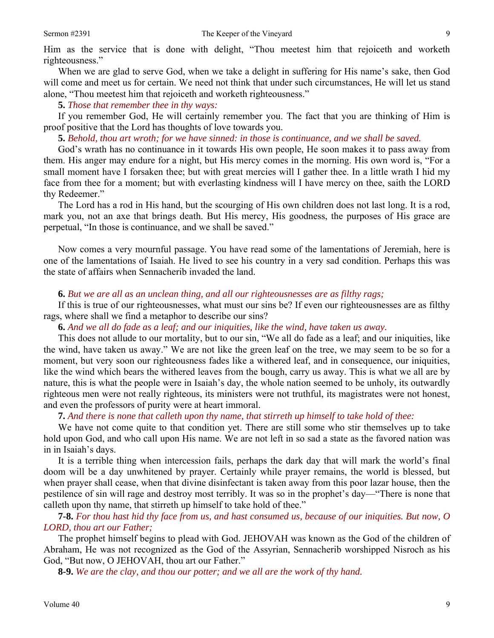Him as the service that is done with delight, "Thou meetest him that rejoiceth and worketh righteousness."

When we are glad to serve God, when we take a delight in suffering for His name's sake, then God will come and meet us for certain. We need not think that under such circumstances, He will let us stand alone, "Thou meetest him that rejoiceth and worketh righteousness."

**5.** *Those that remember thee in thy ways:* 

If you remember God, He will certainly remember you. The fact that you are thinking of Him is proof positive that the Lord has thoughts of love towards you.

**5.** *Behold, thou art wroth; for we have sinned: in those is continuance, and we shall be saved.* 

God's wrath has no continuance in it towards His own people, He soon makes it to pass away from them. His anger may endure for a night, but His mercy comes in the morning. His own word is, "For a small moment have I forsaken thee; but with great mercies will I gather thee. In a little wrath I hid my face from thee for a moment; but with everlasting kindness will I have mercy on thee, saith the LORD thy Redeemer."

The Lord has a rod in His hand, but the scourging of His own children does not last long. It is a rod, mark you, not an axe that brings death. But His mercy, His goodness, the purposes of His grace are perpetual, "In those is continuance, and we shall be saved."

Now comes a very mournful passage. You have read some of the lamentations of Jeremiah, here is one of the lamentations of Isaiah. He lived to see his country in a very sad condition. Perhaps this was the state of affairs when Sennacherib invaded the land.

### **6.** *But we are all as an unclean thing, and all our righteousnesses are as filthy rags;*

If this is true of our righteousnesses, what must our sins be? If even our righteousnesses are as filthy rags, where shall we find a metaphor to describe our sins?

**6.** *And we all do fade as a leaf; and our iniquities, like the wind, have taken us away.* 

This does not allude to our mortality, but to our sin, "We all do fade as a leaf; and our iniquities, like the wind, have taken us away." We are not like the green leaf on the tree, we may seem to be so for a moment, but very soon our righteousness fades like a withered leaf, and in consequence, our iniquities, like the wind which bears the withered leaves from the bough, carry us away. This is what we all are by nature, this is what the people were in Isaiah's day, the whole nation seemed to be unholy, its outwardly righteous men were not really righteous, its ministers were not truthful, its magistrates were not honest, and even the professors of purity were at heart immoral.

**7.** *And there is none that calleth upon thy name, that stirreth up himself to take hold of thee:* 

We have not come quite to that condition yet. There are still some who stir themselves up to take hold upon God, and who call upon His name. We are not left in so sad a state as the favored nation was in in Isaiah's days.

It is a terrible thing when intercession fails, perhaps the dark day that will mark the world's final doom will be a day unwhitened by prayer. Certainly while prayer remains, the world is blessed, but when prayer shall cease, when that divine disinfectant is taken away from this poor lazar house, then the pestilence of sin will rage and destroy most terribly. It was so in the prophet's day—"There is none that calleth upon thy name, that stirreth up himself to take hold of thee."

**7-8.** *For thou hast hid thy face from us, and hast consumed us, because of our iniquities. But now, O LORD, thou art our Father;* 

The prophet himself begins to plead with God. JEHOVAH was known as the God of the children of Abraham, He was not recognized as the God of the Assyrian, Sennacherib worshipped Nisroch as his God, "But now, O JEHOVAH, thou art our Father."

**8-9.** *We are the clay, and thou our potter; and we all are the work of thy hand.*